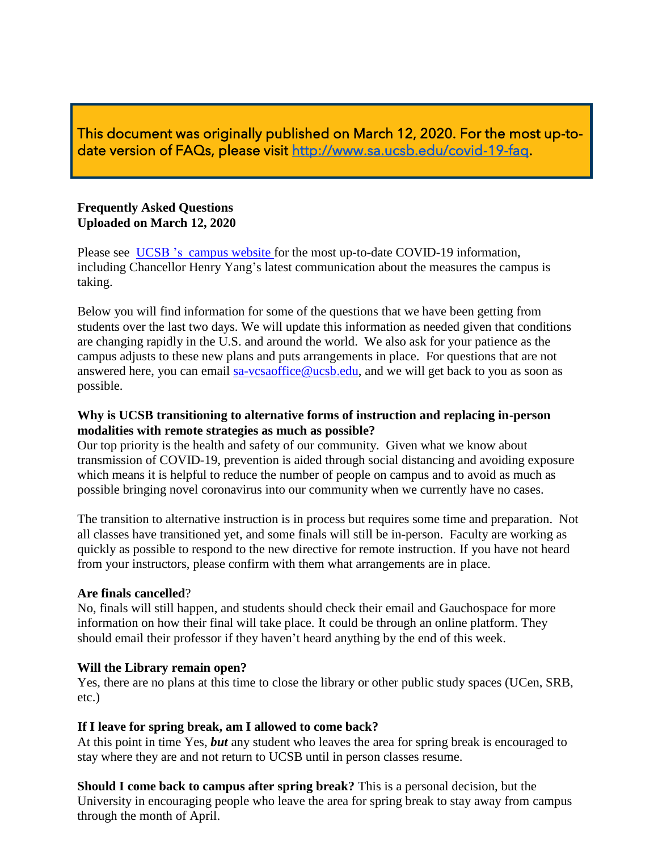This document was originally published on March 12, 2020. For the most up-todate version of FAQs, please visit [http://www.sa.ucsb.edu/covid-19-faq.](http://www.sa.ucsb.edu/covid-19-faq)

#### **Frequently Asked Questions Uploaded on March 12, 2020**

Please see [UCSB 's campus website f](https://www.ucsb.edu/COVID-19-information)or the most up-to-date COVID-19 information, including Chancellor Henry Yang's latest communication about the measures the campus is taking.

Below you will find information for some of the questions that we have been getting from students over the last two days. We will update this information as needed given that conditions are changing rapidly in the U.S. and around the world. We also ask for your patience as the campus adjusts to these new plans and puts arrangements in place. For questions that are not answered here, you can email [sa-vcsaoffice@ucsb.edu,](mailto:sa-vcsaoffice@ucsb.edu) and we will get back to you as soon as possible.

#### **Why is UCSB transitioning to alternative forms of instruction and replacing in-person modalities with remote strategies as much as possible?**

Our top priority is the health and safety of our community. Given what we know about transmission of COVID-19, prevention is aided through social distancing and avoiding exposure which means it is helpful to reduce the number of people on campus and to avoid as much as possible bringing novel coronavirus into our community when we currently have no cases.

The transition to alternative instruction is in process but requires some time and preparation. Not all classes have transitioned yet, and some finals will still be in-person. Faculty are working as quickly as possible to respond to the new directive for remote instruction. If you have not heard from your instructors, please confirm with them what arrangements are in place.

#### **Are finals cancelled**?

No, finals will still happen, and students should check their email and Gauchospace for more information on how their final will take place. It could be through an online platform. They should email their professor if they haven't heard anything by the end of this week.

# **Will the Library remain open?**

Yes, there are no plans at this time to close the library or other public study spaces (UCen, SRB, etc.)

# **If I leave for spring break, am I allowed to come back?**

At this point in time Yes, *but* any student who leaves the area for spring break is encouraged to stay where they are and not return to UCSB until in person classes resume.

**Should I come back to campus after spring break?** This is a personal decision, but the University in encouraging people who leave the area for spring break to stay away from campus through the month of April.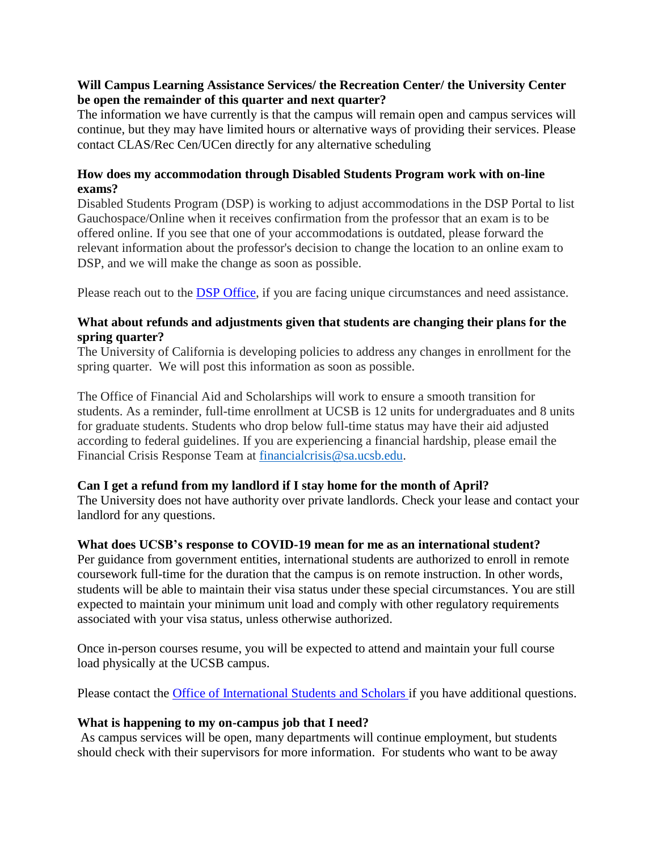### **Will Campus Learning Assistance Services/ the Recreation Center/ the University Center be open the remainder of this quarter and next quarter?**

The information we have currently is that the campus will remain open and campus services will continue, but they may have limited hours or alternative ways of providing their services. Please contact CLAS/Rec Cen/UCen directly for any alternative scheduling

### **How does my accommodation through Disabled Students Program work with on-line exams?**

Disabled Students Program (DSP) is working to adjust accommodations in the DSP Portal to list Gauchospace/Online when it receives confirmation from the professor that an exam is to be offered online. If you see that one of your accommodations is outdated, please forward the relevant information about the professor's decision to change the location to an online exam to DSP, and we will make the change as soon as possible.

Please reach out to the [DSP Office, i](https://dsp.sa.ucsb.edu/)f you are facing unique circumstances and need assistance.

# **What about refunds and adjustments given that students are changing their plans for the spring quarter?**

The University of California is developing policies to address any changes in enrollment for the spring quarter. We will post this information as soon as possible.

The Office of Financial Aid and Scholarships will work to ensure a smooth transition for students. As a reminder, full-time enrollment at UCSB is 12 units for undergraduates and 8 units for graduate students. Students who drop below full-time status may have their aid adjusted according to federal guidelines. If you are experiencing a financial hardship, please email the Financial Crisis Response Team at [financialcrisis@sa.ucsb.edu.](mailto:financialcrisis@sa.ucsb.edu)

# **Can I get a refund from my landlord if I stay home for the month of April?**

The University does not have authority over private landlords. Check your lease and contact your landlord for any questions.

# **What does UCSB's response to COVID-19 mean for me as an international student?**

Per guidance from government entities, international students are authorized to enroll in remote coursework full-time for the duration that the campus is on remote instruction. In other words, students will be able to maintain their visa status under these special circumstances. You are still expected to maintain your minimum unit load and comply with other regulatory requirements associated with your visa status, unless otherwise authorized.

Once in-person courses resume, you will be expected to attend and maintain your full course load physically at the UCSB campus.

Please contact the Office of [International Students](http://oiss.sa.ucsb.edu/contact-us) and Scholars if you have additional questions.

# **What is happening to my on-campus job that I need?**

As campus services will be open, many departments will continue employment, but students should check with their supervisors for more information. For students who want to be away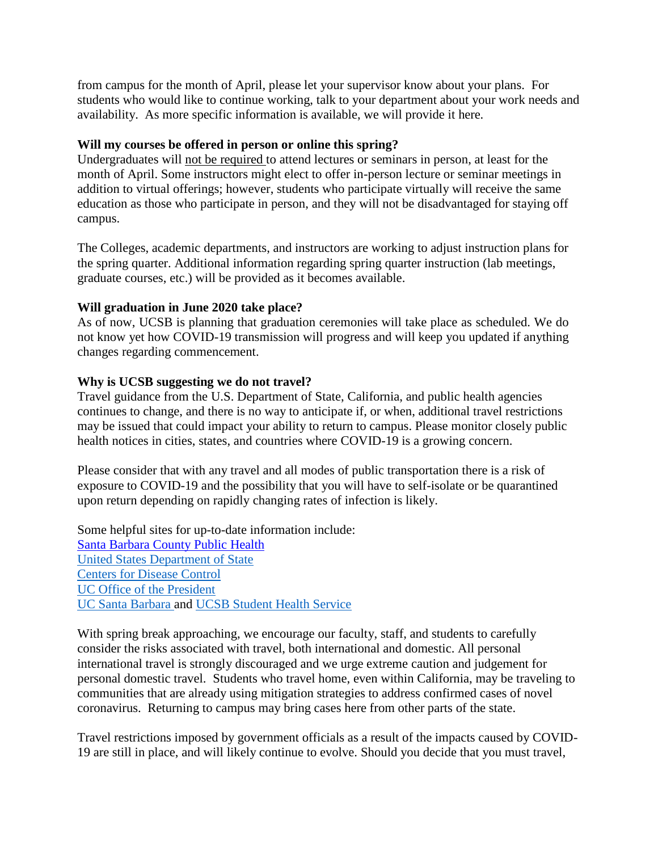from campus for the month of April, please let your supervisor know about your plans. For students who would like to continue working, talk to your department about your work needs and availability. As more specific information is available, we will provide it here.

#### **Will my courses be offered in person or online this spring?**

Undergraduates will not be required to attend lectures or seminars in person, at least for the month of April. Some instructors might elect to offer in-person lecture or seminar meetings in addition to virtual offerings; however, students who participate virtually will receive the same education as those who participate in person, and they will not be disadvantaged for staying off campus.

The Colleges, academic departments, and instructors are working to adjust instruction plans for the spring quarter. Additional information regarding spring quarter instruction (lab meetings, graduate courses, etc.) will be provided as it becomes available.

# **Will graduation in June 2020 take place?**

As of now, UCSB is planning that graduation ceremonies will take place as scheduled. We do not know yet how COVID-19 transmission will progress and will keep you updated if anything changes regarding commencement.

#### **Why is UCSB suggesting we do not travel?**

Travel guidance from the U.S. Department of State, California, and public health agencies continues to change, and there is no way to anticipate if, or when, additional travel restrictions may be issued that could impact your ability to return to campus. Please monitor closely public health notices in cities, states, and countries where COVID-19 is a growing concern.

Please consider that with any travel and all modes of public transportation there is a risk of exposure to COVID-19 and the possibility that you will have to self-isolate or be quarantined upon return depending on rapidly changing rates of infection is likely.

Some helpful sites for up-to-date information include: [Santa Barbara](https://publichealthsbc.org/) County Public Health [United States Department of State](https://travel.state.gov/content/travel/en/traveladvisories/COVID-19-Country-Specific-Information.html) [Centers for](https://www.cdc.gov/coronavirus/2019-ncov/about/share-facts.html) Disease Control [UC Office](https://www.universityofcalifornia.edu/coronavirus) of the President [UC Santa Barbara](https://www.ucsb.edu/COVID-19-information) and UCSB [Student Health Service](http://studenthealth.sa.ucsb.edu/)

With spring break approaching, we encourage our faculty, staff, and students to carefully consider the risks associated with travel, both international and domestic. All personal international travel is strongly discouraged and we urge extreme caution and judgement for personal domestic travel. Students who travel home, even within California, may be traveling to communities that are already using mitigation strategies to address confirmed cases of novel coronavirus. Returning to campus may bring cases here from other parts of the state.

Travel restrictions imposed by government officials as a result of the impacts caused by COVID-19 are still in place, and will likely continue to evolve. Should you decide that you must travel,